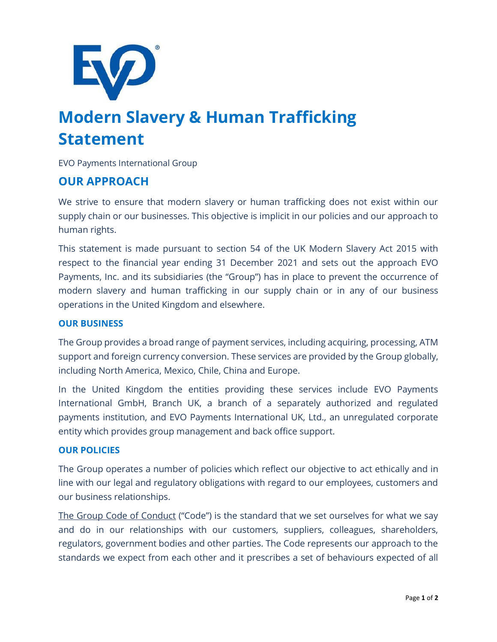

# **Modern Slavery & Human Trafficking Statement**

EVO Payments International Group

## **OUR APPROACH**

We strive to ensure that modern slavery or human trafficking does not exist within our supply chain or our businesses. This objective is implicit in our policies and our approach to human rights.

This statement is made pursuant to section 54 of the UK Modern Slavery Act 2015 with respect to the financial year ending 31 December 2021 and sets out the approach EVO Payments, Inc. and its subsidiaries (the "Group") has in place to prevent the occurrence of modern slavery and human trafficking in our supply chain or in any of our business operations in the United Kingdom and elsewhere.

#### **OUR BUSINESS**

The Group provides a broad range of payment services, including acquiring, processing, ATM support and foreign currency conversion. These services are provided by the Group globally, including North America, Mexico, Chile, China and Europe.

In the United Kingdom the entities providing these services include EVO Payments International GmbH, Branch UK, a branch of a separately authorized and regulated payments institution, and EVO Payments International UK, Ltd., an unregulated corporate entity which provides group management and back office support.

#### **OUR POLICIES**

The Group operates a number of policies which reflect our objective to act ethically and in line with our legal and regulatory obligations with regard to our employees, customers and our business relationships.

The Group Code of Conduct ("Code") is the standard that we set ourselves for what we say and do in our relationships with our customers, suppliers, colleagues, shareholders, regulators, government bodies and other parties. The Code represents our approach to the standards we expect from each other and it prescribes a set of behaviours expected of all